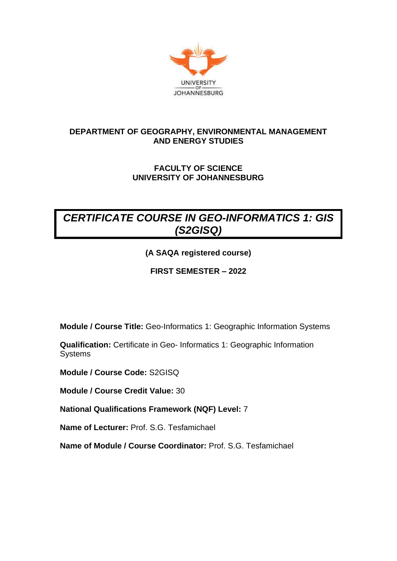

# **DEPARTMENT OF GEOGRAPHY, ENVIRONMENTAL MANAGEMENT AND ENERGY STUDIES**

# **FACULTY OF SCIENCE UNIVERSITY OF JOHANNESBURG**

# *CERTIFICATE COURSE IN GEO-INFORMATICS 1: GIS (S2GISQ)*

**(A SAQA registered course)**

**FIRST SEMESTER – 2022**

**Module / Course Title:** Geo-Informatics 1: Geographic Information Systems

**Qualification:** Certificate in Geo- Informatics 1: Geographic Information Systems

**Module / Course Code:** S2GISQ

**Module / Course Credit Value:** 30

**National Qualifications Framework (NQF) Level:** 7

**Name of Lecturer:** Prof. S.G. Tesfamichael

**Name of Module / Course Coordinator:** Prof. S.G. Tesfamichael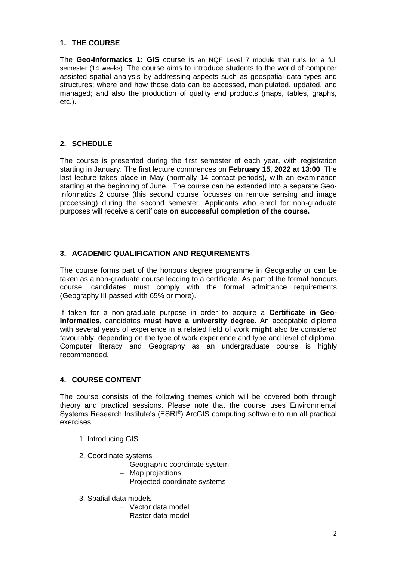## **1. THE COURSE**

The **Geo-Informatics 1: GIS** course is an NQF Level 7 module that runs for a full semester (14 weeks). The course aims to introduce students to the world of computer assisted spatial analysis by addressing aspects such as geospatial data types and structures; where and how those data can be accessed, manipulated, updated, and managed; and also the production of quality end products (maps, tables, graphs, etc.).

# **2. SCHEDULE**

The course is presented during the first semester of each year, with registration starting in January. The first lecture commences on **February 15, 2022 at 13:00**. The last lecture takes place in May (normally 14 contact periods), with an examination starting at the beginning of June. The course can be extended into a separate Geo-Informatics 2 course (this second course focusses on remote sensing and image processing) during the second semester. Applicants who enrol for non-graduate purposes will receive a certificate **on successful completion of the course.**

# **3. ACADEMIC QUALIFICATION AND REQUIREMENTS**

The course forms part of the honours degree programme in Geography or can be taken as a non-graduate course leading to a certificate. As part of the formal honours course, candidates must comply with the formal admittance requirements (Geography III passed with 65% or more).

If taken for a non-graduate purpose in order to acquire a **Certificate in Geo-Informatics,** candidates **must have a university degree**. An acceptable diploma with several years of experience in a related field of work **might** also be considered favourably, depending on the type of work experience and type and level of diploma. Computer literacy and Geography as an undergraduate course is highly recommended.

#### **4. COURSE CONTENT**

The course consists of the following themes which will be covered both through theory and practical sessions. Please note that the course uses Environmental Systems Research Institute's (ESRI®) ArcGIS computing software to run all practical exercises.

- 1. Introducing GIS
- 2. Coordinate systems
	- Geographic coordinate system
	- Map projections
	- Projected coordinate systems
- 3. Spatial data models
	- Vector data model
	- Raster data model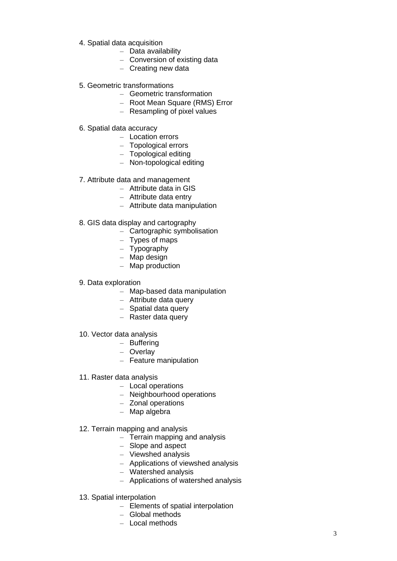- 4. Spatial data acquisition
	- Data availability
	- Conversion of existing data
	- Creating new data
- 5. Geometric transformations
	- Geometric transformation
	- Root Mean Square (RMS) Error
	- Resampling of pixel values
- 6. Spatial data accuracy
	- Location errors
	- Topological errors
	- Topological editing
	- Non-topological editing
- 7. Attribute data and management
	- Attribute data in GIS
	- Attribute data entry
	- Attribute data manipulation
- 8. GIS data display and cartography
	- Cartographic symbolisation
	- Types of maps
	- Typography
	- Map design
	- Map production
- 9. Data exploration
	- Map -based data manipulation
	- Attribute data query
	- Spatial data query
	- Raster data query
- 10. Vector data analysis
	- Buffering
	- Overlay
	- Feature manipulation
- 11. Raster data analysis
	- Local operations
	- Neighbourhood operations
	- Zonal operations
	- Map algebra
- 12. Terrain mapping and analysis
	- Terrain mapping and analysis
	- Slope and aspect
	- Viewshed analysis
	- Applications of viewshed analysis
	- Watershed analysis
	- Applications of watershed analysis
- 13. Spatial interpolation
	- Elements of spatial interpolation
	- Global methods
	- Local methods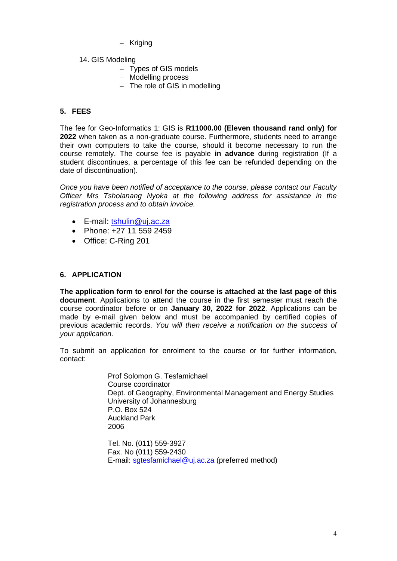- Kriging
- 14. GIS Modeling
	- Types of GIS models
	- Modelling process
	- The role of GIS in modelling

## **5. FEES**

The fee for Geo-Informatics 1: GIS is **R11000.00 (Eleven thousand rand only) for 2022** when taken as a non-graduate course. Furthermore, students need to arrange their own computers to take the course, should it become necessary to run the course remotely. The course fee is payable **in advance** during registration (If a student discontinues, a percentage of this fee can be refunded depending on the date of discontinuation).

*Once you have been notified of acceptance to the course, please contact our Faculty Officer Mrs Tsholanang Nyoka at the following address for assistance in the registration process and to obtain invoice.*

- E-mail: [tshulin@uj.ac.za](mailto:tshulin@uj.ac.za)
- Phone: +27 11 559 2459
- Office: C-Ring 201

#### **6. APPLICATION**

**The application form to enrol for the course is attached at the last page of this document**. Applications to attend the course in the first semester must reach the course coordinator before or on **January 30, 2022 for 2022**. Applications can be made by e-mail given below and must be accompanied by certified copies of previous academic records. *You will then receive a notification on the success of your application*.

To submit an application for enrolment to the course or for further information, contact:

> Prof Solomon G. Tesfamichael Course coordinator Dept. of Geography, Environmental Management and Energy Studies University of Johannesburg P.O. Box 524 Auckland Park 2006

Tel. No. (011) 559-3927 Fax. No (011) 559-2430 E-mail: [sgtesfamichael@uj.ac.za](mailto:sgtesfamichael@uj.ac.za) (preferred method)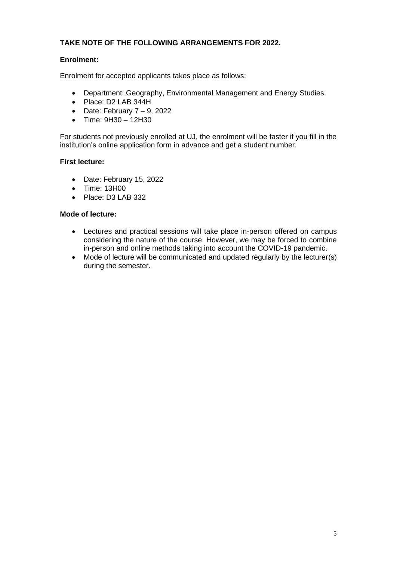# **TAKE NOTE OF THE FOLLOWING ARRANGEMENTS FOR 2022.**

### **Enrolment:**

Enrolment for accepted applicants takes place as follows:

- Department: Geography, Environmental Management and Energy Studies.
- Place: D2 LAB 344H
- Date: February  $7 9$ , 2022
- Time: 9H30 12H30

For students not previously enrolled at UJ, the enrolment will be faster if you fill in the institution's online application form in advance and get a student number.

#### **First lecture:**

- Date: February 15, 2022
- Time: 13H00
- Place: D3 LAB 332

#### **Mode of lecture:**

- Lectures and practical sessions will take place in-person offered on campus considering the nature of the course. However, we may be forced to combine in-person and online methods taking into account the COVID-19 pandemic.
- Mode of lecture will be communicated and updated regularly by the lecturer(s) during the semester.